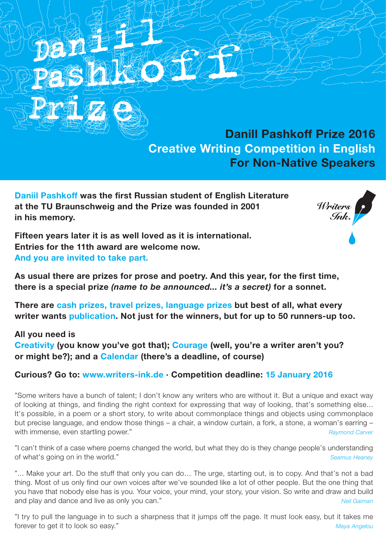**Danill Pashkoff Prize 2016 Creative Writing Competition in English For Non-Native Speakers**

**Daniil Pashkoff was the first Russian student of English Literature at the TU Braunschweig and the Prize was founded in 2001 in his memory.**



**Fifteen years later it is as well loved as it is international. Entries for the 11th award are welcome now. And you are invited to take part.**

**As usual there are prizes for prose and poetry. And this year, for the first time, there is a special prize** *(name to be announced... it's a secret)* **for a sonnet.**

**There are cash prizes, travel prizes, language prizes but best of all, what every writer wants publication. Not just for the winners, but for up to 50 runners-up too.**

## **All you need is**

**Creativity (you know you've got that); Courage (well, you're a writer aren't you? or might be?); and a Calendar (there's a deadline, of course)**

## **Curious? Go to: www.writers-ink.de · Competition deadline: 15 January 2016**

"Some writers have a bunch of talent; I don't know any writers who are without it. But a unique and exact way of looking at things, and finding the right context for expressing that way of looking, that's something else... It's possible, in a poem or a short story, to write about commonplace things and objects using commonplace but precise language, and endow those things – a chair, a window curtain, a fork, a stone, a woman's earring – with immense, even startling power." *Raymond Carver Raymond Carver Raymond Carver* 

"I can't think of a case where poems changed the world, but what they do is they change people's understanding of what's going on in the world." *Seamus Heaney*

"... Make your art. Do the stuff that only you can do... The urge, starting out, is to copy. And that's not a bad thing. Most of us only find our own voices after we've sounded like a lot of other people. But the one thing that you have that nobody else has is you. Your voice, your mind, your story, your vision. So write and draw and build and play and dance and live as only you can." *Neil Gaiman*

"I try to pull the language in to such a sharpness that it jumps off the page. It must look easy, but it takes me forever to get it to look so easy." *Maya Angelou*